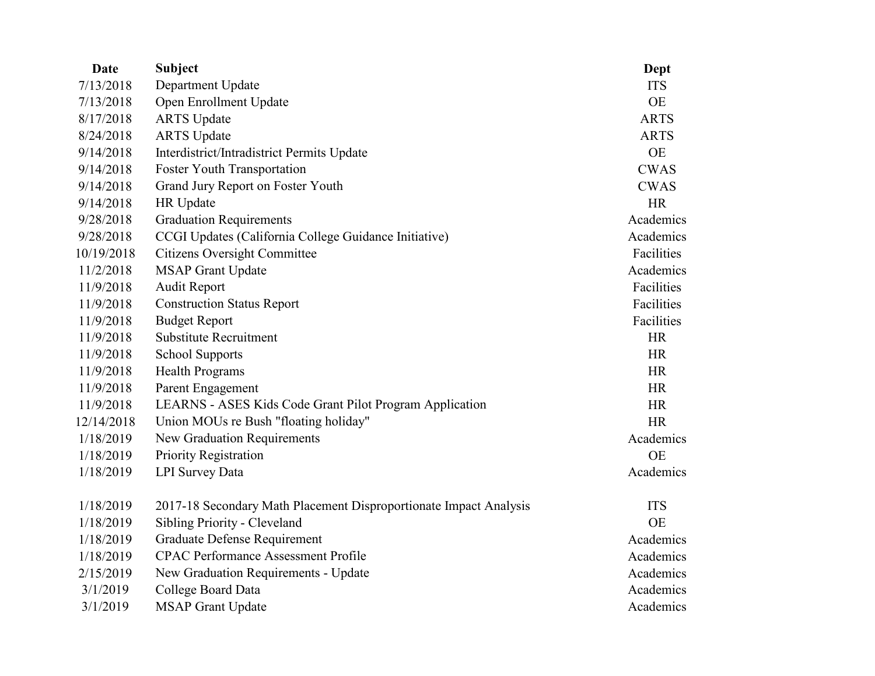| <b>Date</b> | <b>Subject</b>                                                    | Dept        |
|-------------|-------------------------------------------------------------------|-------------|
| 7/13/2018   | Department Update                                                 | <b>ITS</b>  |
| 7/13/2018   | Open Enrollment Update                                            | <b>OE</b>   |
| 8/17/2018   | <b>ARTS</b> Update                                                | <b>ARTS</b> |
| 8/24/2018   | <b>ARTS</b> Update                                                | <b>ARTS</b> |
| 9/14/2018   | Interdistrict/Intradistrict Permits Update                        | <b>OE</b>   |
| 9/14/2018   | <b>Foster Youth Transportation</b>                                | <b>CWAS</b> |
| 9/14/2018   | Grand Jury Report on Foster Youth                                 | <b>CWAS</b> |
| 9/14/2018   | HR Update                                                         | <b>HR</b>   |
| 9/28/2018   | <b>Graduation Requirements</b>                                    | Academics   |
| 9/28/2018   | CCGI Updates (California College Guidance Initiative)             | Academics   |
| 10/19/2018  | <b>Citizens Oversight Committee</b>                               | Facilities  |
| 11/2/2018   | <b>MSAP Grant Update</b>                                          | Academics   |
| 11/9/2018   | <b>Audit Report</b>                                               | Facilities  |
| 11/9/2018   | <b>Construction Status Report</b>                                 | Facilities  |
| 11/9/2018   | <b>Budget Report</b>                                              | Facilities  |
| 11/9/2018   | <b>Substitute Recruitment</b>                                     | <b>HR</b>   |
| 11/9/2018   | <b>School Supports</b>                                            | <b>HR</b>   |
| 11/9/2018   | <b>Health Programs</b>                                            | <b>HR</b>   |
| 11/9/2018   | Parent Engagement                                                 | HR          |
| 11/9/2018   | LEARNS - ASES Kids Code Grant Pilot Program Application           | <b>HR</b>   |
| 12/14/2018  | Union MOUs re Bush "floating holiday"                             | <b>HR</b>   |
| 1/18/2019   | New Graduation Requirements                                       | Academics   |
| 1/18/2019   | Priority Registration                                             | <b>OE</b>   |
| 1/18/2019   | <b>LPI</b> Survey Data                                            | Academics   |
| 1/18/2019   | 2017-18 Secondary Math Placement Disproportionate Impact Analysis | <b>ITS</b>  |
| 1/18/2019   | Sibling Priority - Cleveland                                      | <b>OE</b>   |
| 1/18/2019   | Graduate Defense Requirement                                      | Academics   |
| 1/18/2019   | <b>CPAC Performance Assessment Profile</b>                        | Academics   |
| 2/15/2019   | New Graduation Requirements - Update                              | Academics   |
| 3/1/2019    | College Board Data                                                | Academics   |
| 3/1/2019    | <b>MSAP Grant Update</b>                                          | Academics   |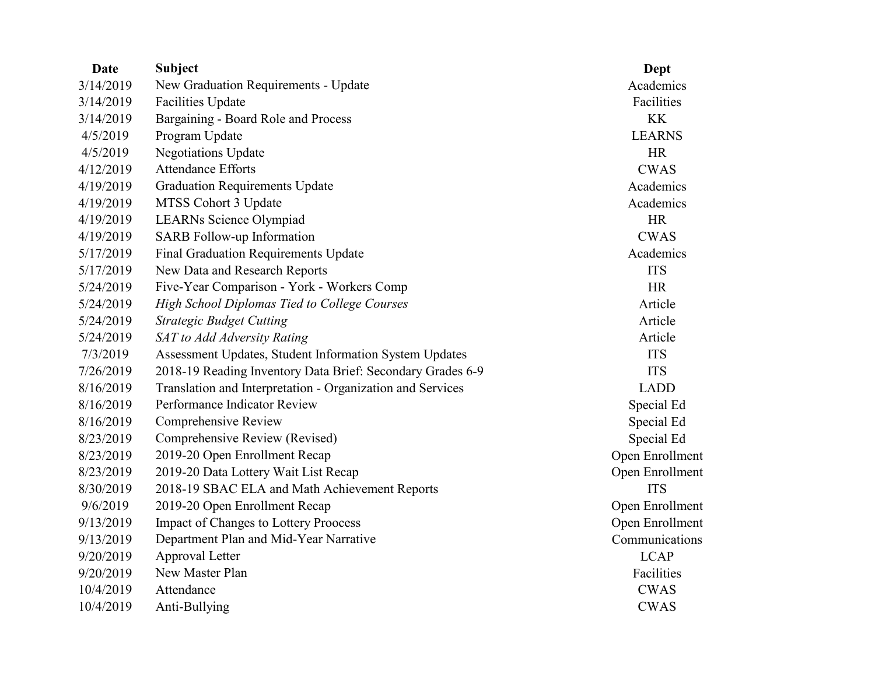| Date      | <b>Subject</b>                                             | Dept            |
|-----------|------------------------------------------------------------|-----------------|
| 3/14/2019 | New Graduation Requirements - Update                       | Academics       |
| 3/14/2019 | <b>Facilities Update</b>                                   | Facilities      |
| 3/14/2019 | Bargaining - Board Role and Process                        | <b>KK</b>       |
| 4/5/2019  | Program Update                                             | <b>LEARNS</b>   |
| 4/5/2019  | <b>Negotiations Update</b>                                 | <b>HR</b>       |
| 4/12/2019 | <b>Attendance Efforts</b>                                  | <b>CWAS</b>     |
| 4/19/2019 | <b>Graduation Requirements Update</b>                      | Academics       |
| 4/19/2019 | MTSS Cohort 3 Update                                       | Academics       |
| 4/19/2019 | LEARNs Science Olympiad                                    | <b>HR</b>       |
| 4/19/2019 | SARB Follow-up Information                                 | <b>CWAS</b>     |
| 5/17/2019 | <b>Final Graduation Requirements Update</b>                | Academics       |
| 5/17/2019 | New Data and Research Reports                              | <b>ITS</b>      |
| 5/24/2019 | Five-Year Comparison - York - Workers Comp                 | <b>HR</b>       |
| 5/24/2019 | <b>High School Diplomas Tied to College Courses</b>        | Article         |
| 5/24/2019 | <b>Strategic Budget Cutting</b>                            | Article         |
| 5/24/2019 | SAT to Add Adversity Rating                                | Article         |
| 7/3/2019  | Assessment Updates, Student Information System Updates     | <b>ITS</b>      |
| 7/26/2019 | 2018-19 Reading Inventory Data Brief: Secondary Grades 6-9 | <b>ITS</b>      |
| 8/16/2019 | Translation and Interpretation - Organization and Services | <b>LADD</b>     |
| 8/16/2019 | Performance Indicator Review                               | Special Ed      |
| 8/16/2019 | Comprehensive Review                                       | Special Ed      |
| 8/23/2019 | Comprehensive Review (Revised)                             | Special Ed      |
| 8/23/2019 | 2019-20 Open Enrollment Recap                              | Open Enrollment |
| 8/23/2019 | 2019-20 Data Lottery Wait List Recap                       | Open Enrollment |
| 8/30/2019 | 2018-19 SBAC ELA and Math Achievement Reports              | <b>ITS</b>      |
| 9/6/2019  | 2019-20 Open Enrollment Recap                              | Open Enrollment |
| 9/13/2019 | <b>Impact of Changes to Lottery Proocess</b>               | Open Enrollment |
| 9/13/2019 | Department Plan and Mid-Year Narrative                     | Communications  |
| 9/20/2019 | Approval Letter                                            | <b>LCAP</b>     |
| 9/20/2019 | New Master Plan                                            | Facilities      |
| 10/4/2019 | Attendance                                                 | <b>CWAS</b>     |
| 10/4/2019 | Anti-Bullying                                              | <b>CWAS</b>     |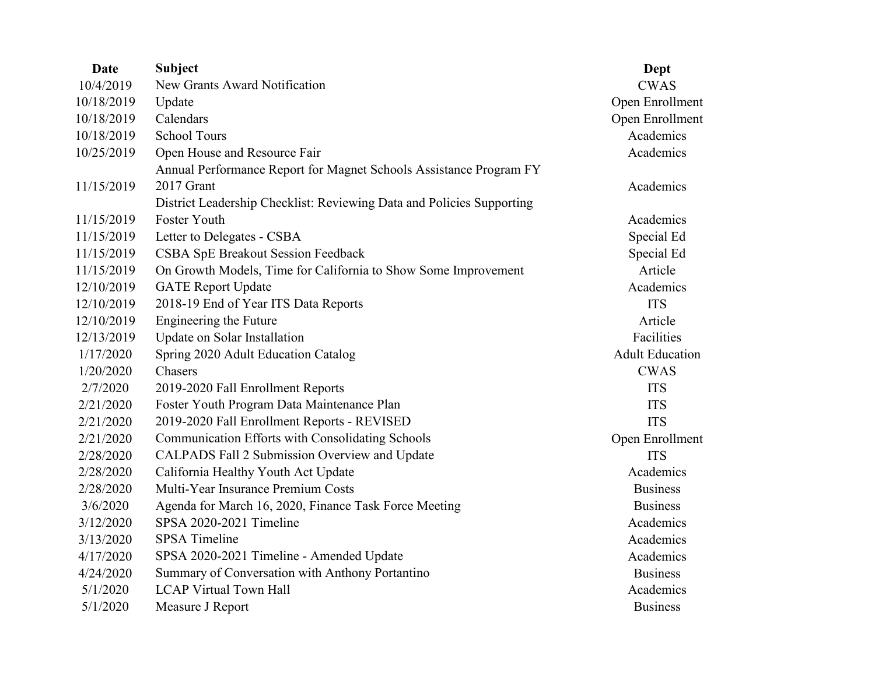| <b>Date</b> | <b>Subject</b>                                                        | Dept                   |
|-------------|-----------------------------------------------------------------------|------------------------|
| 10/4/2019   | New Grants Award Notification                                         | <b>CWAS</b>            |
| 10/18/2019  | Update                                                                | Open Enrollment        |
| 10/18/2019  | Calendars                                                             | Open Enrollment        |
| 10/18/2019  | <b>School Tours</b>                                                   | Academics              |
| 10/25/2019  | Open House and Resource Fair                                          | Academics              |
|             | Annual Performance Report for Magnet Schools Assistance Program FY    |                        |
| 11/15/2019  | 2017 Grant                                                            | Academics              |
|             | District Leadership Checklist: Reviewing Data and Policies Supporting |                        |
| 11/15/2019  | Foster Youth                                                          | Academics              |
| 11/15/2019  | Letter to Delegates - CSBA                                            | Special Ed             |
| 11/15/2019  | CSBA SpE Breakout Session Feedback                                    | Special Ed             |
| 11/15/2019  | On Growth Models, Time for California to Show Some Improvement        | Article                |
| 12/10/2019  | <b>GATE Report Update</b>                                             | Academics              |
| 12/10/2019  | 2018-19 End of Year ITS Data Reports                                  | <b>ITS</b>             |
| 12/10/2019  | Engineering the Future                                                | Article                |
| 12/13/2019  | Update on Solar Installation                                          | Facilities             |
| 1/17/2020   | Spring 2020 Adult Education Catalog                                   | <b>Adult Education</b> |
| 1/20/2020   | Chasers                                                               | <b>CWAS</b>            |
| 2/7/2020    | 2019-2020 Fall Enrollment Reports                                     | <b>ITS</b>             |
| 2/21/2020   | Foster Youth Program Data Maintenance Plan                            | <b>ITS</b>             |
| 2/21/2020   | 2019-2020 Fall Enrollment Reports - REVISED                           | <b>ITS</b>             |
| 2/21/2020   | Communication Efforts with Consolidating Schools                      | Open Enrollment        |
| 2/28/2020   | CALPADS Fall 2 Submission Overview and Update                         | <b>ITS</b>             |
| 2/28/2020   | California Healthy Youth Act Update                                   | Academics              |
| 2/28/2020   | Multi-Year Insurance Premium Costs                                    | <b>Business</b>        |
| 3/6/2020    | Agenda for March 16, 2020, Finance Task Force Meeting                 | <b>Business</b>        |
| 3/12/2020   | SPSA 2020-2021 Timeline                                               | Academics              |
| 3/13/2020   | <b>SPSA</b> Timeline                                                  | Academics              |
| 4/17/2020   | SPSA 2020-2021 Timeline - Amended Update                              | Academics              |
| 4/24/2020   | Summary of Conversation with Anthony Portantino                       | <b>Business</b>        |
| 5/1/2020    | <b>LCAP Virtual Town Hall</b>                                         | Academics              |
| 5/1/2020    | Measure J Report                                                      | <b>Business</b>        |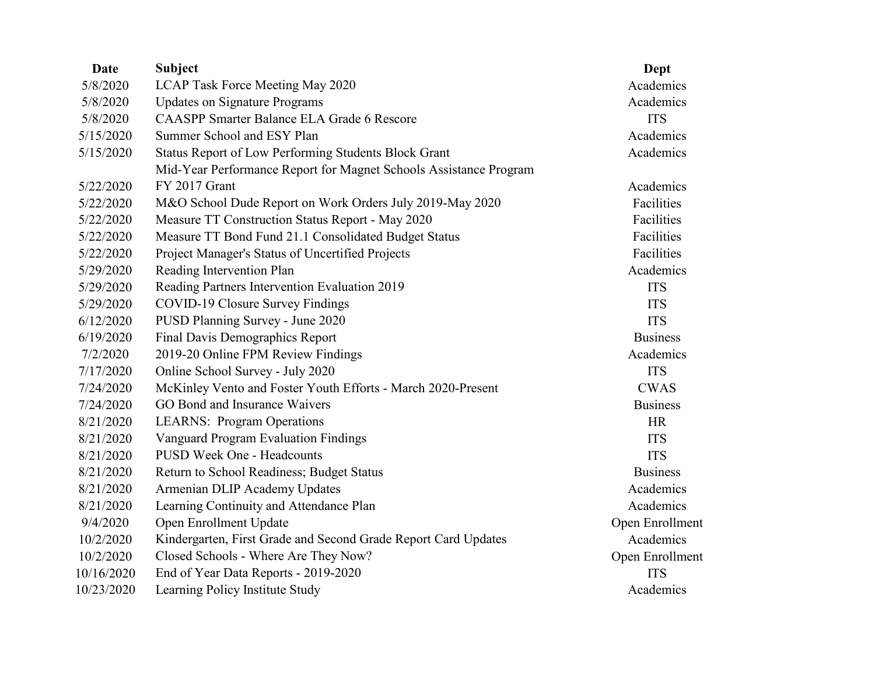| Date       | <b>Subject</b>                                                    | Dept            |
|------------|-------------------------------------------------------------------|-----------------|
| 5/8/2020   | LCAP Task Force Meeting May 2020                                  | Academics       |
| 5/8/2020   | <b>Updates on Signature Programs</b>                              | Academics       |
| 5/8/2020   | <b>CAASPP Smarter Balance ELA Grade 6 Rescore</b>                 | <b>ITS</b>      |
| 5/15/2020  | Summer School and ESY Plan                                        | Academics       |
| 5/15/2020  | Status Report of Low Performing Students Block Grant              | Academics       |
|            | Mid-Year Performance Report for Magnet Schools Assistance Program |                 |
| 5/22/2020  | FY 2017 Grant                                                     | Academics       |
| 5/22/2020  | M&O School Dude Report on Work Orders July 2019-May 2020          | Facilities      |
| 5/22/2020  | Measure TT Construction Status Report - May 2020                  | Facilities      |
| 5/22/2020  | Measure TT Bond Fund 21.1 Consolidated Budget Status              | Facilities      |
| 5/22/2020  | Project Manager's Status of Uncertified Projects                  | Facilities      |
| 5/29/2020  | Reading Intervention Plan                                         | Academics       |
| 5/29/2020  | Reading Partners Intervention Evaluation 2019                     | <b>ITS</b>      |
| 5/29/2020  | COVID-19 Closure Survey Findings                                  | <b>ITS</b>      |
| 6/12/2020  | PUSD Planning Survey - June 2020                                  | <b>ITS</b>      |
| 6/19/2020  | Final Davis Demographics Report                                   | <b>Business</b> |
| 7/2/2020   | 2019-20 Online FPM Review Findings                                | Academics       |
| 7/17/2020  | Online School Survey - July 2020                                  | <b>ITS</b>      |
| 7/24/2020  | McKinley Vento and Foster Youth Efforts - March 2020-Present      | <b>CWAS</b>     |
| 7/24/2020  | GO Bond and Insurance Waivers                                     | <b>Business</b> |
| 8/21/2020  | <b>LEARNS: Program Operations</b>                                 | <b>HR</b>       |
| 8/21/2020  | <b>Vanguard Program Evaluation Findings</b>                       | <b>ITS</b>      |
| 8/21/2020  | <b>PUSD Week One - Headcounts</b>                                 | <b>ITS</b>      |
| 8/21/2020  | Return to School Readiness; Budget Status                         | <b>Business</b> |
| 8/21/2020  | Armenian DLIP Academy Updates                                     | Academics       |
| 8/21/2020  | Learning Continuity and Attendance Plan                           | Academics       |
| 9/4/2020   | Open Enrollment Update                                            | Open Enrollment |
| 10/2/2020  | Kindergarten, First Grade and Second Grade Report Card Updates    | Academics       |
| 10/2/2020  | Closed Schools - Where Are They Now?                              | Open Enrollment |
| 10/16/2020 | End of Year Data Reports - 2019-2020                              | <b>ITS</b>      |
| 10/23/2020 | Learning Policy Institute Study                                   | Academics       |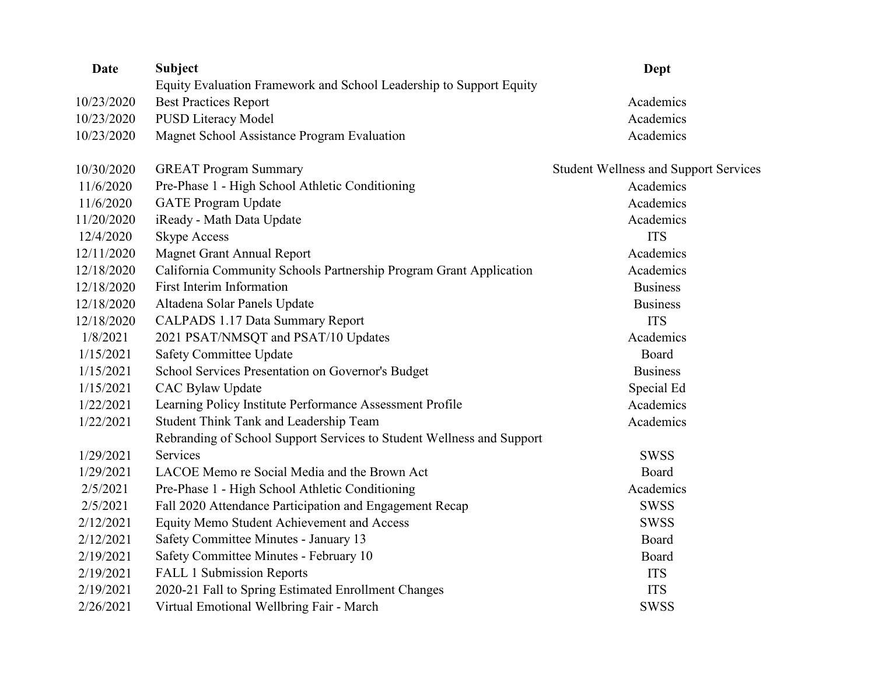| Date       | <b>Subject</b>                                                        | Dept                                         |
|------------|-----------------------------------------------------------------------|----------------------------------------------|
|            | Equity Evaluation Framework and School Leadership to Support Equity   |                                              |
| 10/23/2020 | <b>Best Practices Report</b>                                          | Academics                                    |
| 10/23/2020 | <b>PUSD Literacy Model</b>                                            | Academics                                    |
| 10/23/2020 | Magnet School Assistance Program Evaluation                           | Academics                                    |
| 10/30/2020 | <b>GREAT Program Summary</b>                                          | <b>Student Wellness and Support Services</b> |
| 11/6/2020  | Pre-Phase 1 - High School Athletic Conditioning                       | Academics                                    |
| 11/6/2020  | <b>GATE Program Update</b>                                            | Academics                                    |
| 11/20/2020 | iReady - Math Data Update                                             | Academics                                    |
| 12/4/2020  | <b>Skype Access</b>                                                   | <b>ITS</b>                                   |
| 12/11/2020 | <b>Magnet Grant Annual Report</b>                                     | Academics                                    |
| 12/18/2020 | California Community Schools Partnership Program Grant Application    | Academics                                    |
| 12/18/2020 | First Interim Information                                             | <b>Business</b>                              |
| 12/18/2020 | Altadena Solar Panels Update                                          | <b>Business</b>                              |
| 12/18/2020 | <b>CALPADS 1.17 Data Summary Report</b>                               | <b>ITS</b>                                   |
| 1/8/2021   | 2021 PSAT/NMSQT and PSAT/10 Updates                                   | Academics                                    |
| 1/15/2021  | <b>Safety Committee Update</b>                                        | Board                                        |
| 1/15/2021  | School Services Presentation on Governor's Budget                     | <b>Business</b>                              |
| 1/15/2021  | CAC Bylaw Update                                                      | Special Ed                                   |
| 1/22/2021  | Learning Policy Institute Performance Assessment Profile              | Academics                                    |
| 1/22/2021  | Student Think Tank and Leadership Team                                | Academics                                    |
|            | Rebranding of School Support Services to Student Wellness and Support |                                              |
| 1/29/2021  | Services                                                              | <b>SWSS</b>                                  |
| 1/29/2021  | LACOE Memo re Social Media and the Brown Act                          | Board                                        |
| 2/5/2021   | Pre-Phase 1 - High School Athletic Conditioning                       | Academics                                    |
| 2/5/2021   | Fall 2020 Attendance Participation and Engagement Recap               | <b>SWSS</b>                                  |
| 2/12/2021  | Equity Memo Student Achievement and Access                            | <b>SWSS</b>                                  |
| 2/12/2021  | Safety Committee Minutes - January 13                                 | Board                                        |
| 2/19/2021  | Safety Committee Minutes - February 10                                | Board                                        |
| 2/19/2021  | FALL 1 Submission Reports                                             | <b>ITS</b>                                   |
| 2/19/2021  | 2020-21 Fall to Spring Estimated Enrollment Changes                   | <b>ITS</b>                                   |
| 2/26/2021  | Virtual Emotional Wellbring Fair - March                              | <b>SWSS</b>                                  |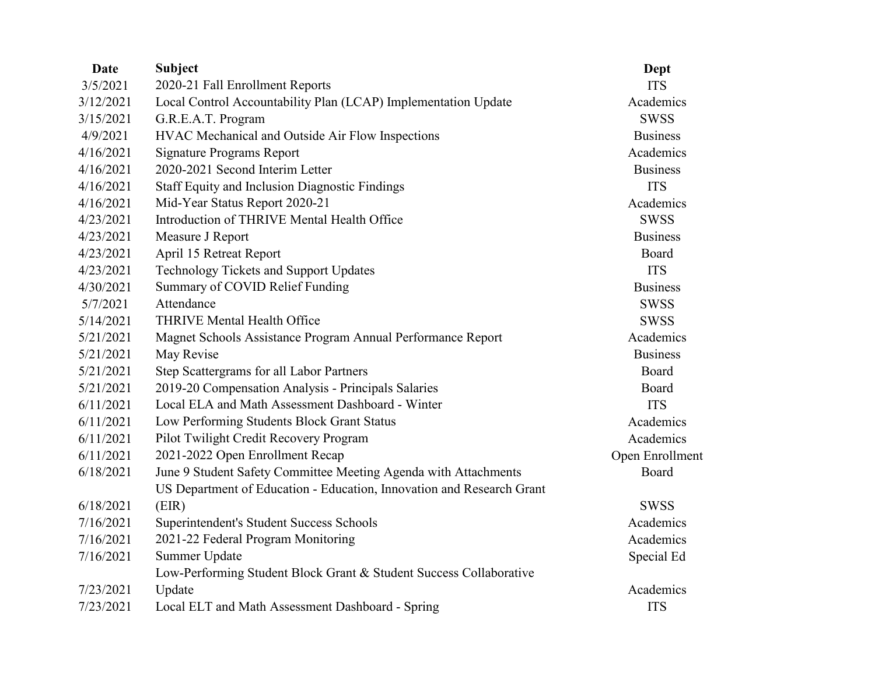| Date      | <b>Subject</b>                                                        | Dept            |
|-----------|-----------------------------------------------------------------------|-----------------|
| 3/5/2021  | 2020-21 Fall Enrollment Reports                                       | <b>ITS</b>      |
| 3/12/2021 | Local Control Accountability Plan (LCAP) Implementation Update        | Academics       |
| 3/15/2021 | G.R.E.A.T. Program                                                    | <b>SWSS</b>     |
| 4/9/2021  | HVAC Mechanical and Outside Air Flow Inspections                      | <b>Business</b> |
| 4/16/2021 | <b>Signature Programs Report</b>                                      | Academics       |
| 4/16/2021 | 2020-2021 Second Interim Letter                                       | <b>Business</b> |
| 4/16/2021 | <b>Staff Equity and Inclusion Diagnostic Findings</b>                 | <b>ITS</b>      |
| 4/16/2021 | Mid-Year Status Report 2020-21                                        | Academics       |
| 4/23/2021 | Introduction of THRIVE Mental Health Office                           | <b>SWSS</b>     |
| 4/23/2021 | Measure J Report                                                      | <b>Business</b> |
| 4/23/2021 | April 15 Retreat Report                                               | Board           |
| 4/23/2021 | <b>Technology Tickets and Support Updates</b>                         | <b>ITS</b>      |
| 4/30/2021 | Summary of COVID Relief Funding                                       | <b>Business</b> |
| 5/7/2021  | Attendance                                                            | <b>SWSS</b>     |
| 5/14/2021 | THRIVE Mental Health Office                                           | <b>SWSS</b>     |
| 5/21/2021 | Magnet Schools Assistance Program Annual Performance Report           | Academics       |
| 5/21/2021 | May Revise                                                            | <b>Business</b> |
| 5/21/2021 | Step Scattergrams for all Labor Partners                              | Board           |
| 5/21/2021 | 2019-20 Compensation Analysis - Principals Salaries                   | Board           |
| 6/11/2021 | Local ELA and Math Assessment Dashboard - Winter                      | <b>ITS</b>      |
| 6/11/2021 | Low Performing Students Block Grant Status                            | Academics       |
| 6/11/2021 | Pilot Twilight Credit Recovery Program                                | Academics       |
| 6/11/2021 | 2021-2022 Open Enrollment Recap                                       | Open Enrollment |
| 6/18/2021 | June 9 Student Safety Committee Meeting Agenda with Attachments       | Board           |
|           | US Department of Education - Education, Innovation and Research Grant |                 |
| 6/18/2021 | (EIR)                                                                 | <b>SWSS</b>     |
| 7/16/2021 | Superintendent's Student Success Schools                              | Academics       |
| 7/16/2021 | 2021-22 Federal Program Monitoring                                    | Academics       |
| 7/16/2021 | Summer Update                                                         | Special Ed      |
|           | Low-Performing Student Block Grant & Student Success Collaborative    |                 |
| 7/23/2021 | Update                                                                | Academics       |
| 7/23/2021 | Local ELT and Math Assessment Dashboard - Spring                      | <b>ITS</b>      |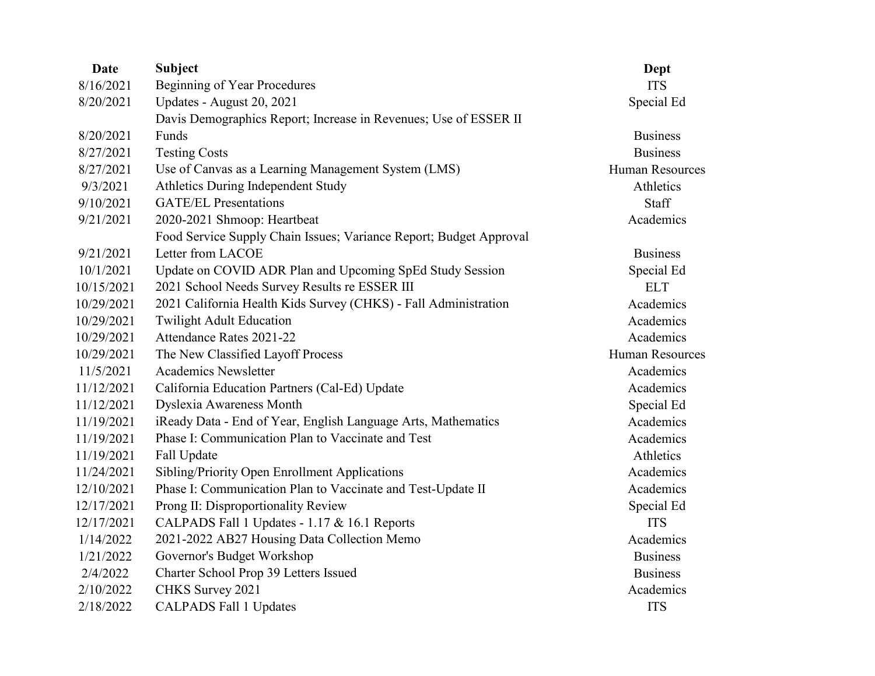| Date       | <b>Subject</b>                                                     | Dept                   |
|------------|--------------------------------------------------------------------|------------------------|
| 8/16/2021  | <b>Beginning of Year Procedures</b>                                | <b>ITS</b>             |
| 8/20/2021  | Updates - August 20, 2021                                          | Special Ed             |
|            | Davis Demographics Report; Increase in Revenues; Use of ESSER II   |                        |
| 8/20/2021  | Funds                                                              | <b>Business</b>        |
| 8/27/2021  | <b>Testing Costs</b>                                               | <b>Business</b>        |
| 8/27/2021  | Use of Canvas as a Learning Management System (LMS)                | <b>Human Resources</b> |
| 9/3/2021   | Athletics During Independent Study                                 | Athletics              |
| 9/10/2021  | <b>GATE/EL Presentations</b>                                       | Staff                  |
| 9/21/2021  | 2020-2021 Shmoop: Heartbeat                                        | Academics              |
|            | Food Service Supply Chain Issues; Variance Report; Budget Approval |                        |
| 9/21/2021  | Letter from LACOE                                                  | <b>Business</b>        |
| 10/1/2021  | Update on COVID ADR Plan and Upcoming SpEd Study Session           | Special Ed             |
| 10/15/2021 | 2021 School Needs Survey Results re ESSER III                      | <b>ELT</b>             |
| 10/29/2021 | 2021 California Health Kids Survey (CHKS) - Fall Administration    | Academics              |
| 10/29/2021 | <b>Twilight Adult Education</b>                                    | Academics              |
| 10/29/2021 | Attendance Rates 2021-22                                           | Academics              |
| 10/29/2021 | The New Classified Layoff Process                                  | <b>Human Resources</b> |
| 11/5/2021  | <b>Academics Newsletter</b>                                        | Academics              |
| 11/12/2021 | California Education Partners (Cal-Ed) Update                      | Academics              |
| 11/12/2021 | Dyslexia Awareness Month                                           | Special Ed             |
| 11/19/2021 | iReady Data - End of Year, English Language Arts, Mathematics      | Academics              |
| 11/19/2021 | Phase I: Communication Plan to Vaccinate and Test                  | Academics              |
| 11/19/2021 | Fall Update                                                        | Athletics              |
| 11/24/2021 | Sibling/Priority Open Enrollment Applications                      | Academics              |
| 12/10/2021 | Phase I: Communication Plan to Vaccinate and Test-Update II        | Academics              |
| 12/17/2021 | Prong II: Disproportionality Review                                | Special Ed             |
| 12/17/2021 | CALPADS Fall 1 Updates - 1.17 & 16.1 Reports                       | <b>ITS</b>             |
| 1/14/2022  | 2021-2022 AB27 Housing Data Collection Memo                        | Academics              |
| 1/21/2022  | Governor's Budget Workshop                                         | <b>Business</b>        |
| 2/4/2022   | Charter School Prop 39 Letters Issued                              | <b>Business</b>        |
| 2/10/2022  | CHKS Survey 2021                                                   | Academics              |
| 2/18/2022  | <b>CALPADS Fall 1 Updates</b>                                      | <b>ITS</b>             |